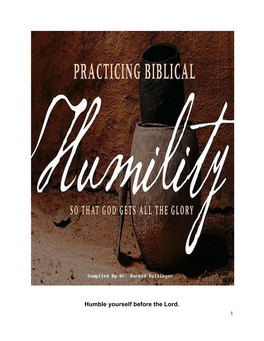

**Humble yourself before the Lord.**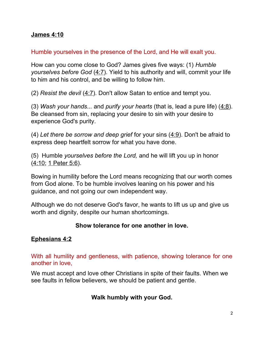### **[James 4:10](http://bible.knowing-jesus.com/James/4/10)**

### Humble yourselves in the presence of the Lord, and He will exalt you.

How can you come close to God? James gives five ways: (1) *Humble yourselves before God* [\(4:7\)](http://www.crossbooks.com/verse.asp?ref=Jas+4%3A7). Yield to his authority and will, commit your life to him and his control, and be willing to follow him.

(2) *Resist the devil* [\(4:7\)](http://www.crossbooks.com/verse.asp?ref=Jas+4%3A7). Don't allow Satan to entice and tempt you.

(3) *Wash your hands...* and *purify your hearts* (that is, lead a pure life) [\(4:8\)](http://www.crossbooks.com/verse.asp?ref=Jas+4%3A8). Be cleansed from sin, replacing your desire to sin with your desire to experience God's purity.

(4) *Let there be sorrow and deep grief* for your sins [\(4:9\)](http://www.crossbooks.com/verse.asp?ref=Jas+4%3A9). Don't be afraid to express deep heartfelt sorrow for what you have done.

(5) Humble *yourselves before the Lord,* and he will lift you up in honor [\(4:10;](http://www.crossbooks.com/verse.asp?ref=Jas+4%3A10) [1 Peter 5:6\)](http://www.crossbooks.com/verse.asp?ref=1Pe+5%3A6).

Bowing in humility before the Lord means recognizing that our worth comes from God alone. To be humble involves leaning on his power and his guidance, and not going our own independent way.

Although we do not deserve God's favor, he wants to lift us up and give us worth and dignity, despite our human shortcomings.

## **Show tolerance for one another in love.**

## **[Ephesians 4:2](http://bible.knowing-jesus.com/Ephesians/4/2)**

With all humility and gentleness, with patience, showing tolerance for one another in love,

We must accept and love other Christians in spite of their faults. When we see faults in fellow believers, we should be patient and gentle.

## **Walk humbly with your God.**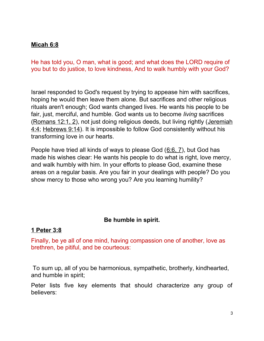## **[Micah 6:8](http://bible.knowing-jesus.com/Micah/6/8)**

He has told you, O man, what is good; and what does the LORD require of you but to do justice, to love kindness, And to walk humbly with your God?

Israel responded to God's request by trying to appease him with sacrifices, hoping he would then leave them alone. But sacrifices and other religious rituals aren't enough; God wants changed lives. He wants his people to be fair, just, merciful, and humble. God wants us to become *living* sacrifices [\(Romans 12:1, 2\)](http://www.crossbooks.com/verse.asp?ref=Ro+12%3A1-2), not just doing religious deeds, but living rightly [\(Jeremiah](http://www.crossbooks.com/verse.asp?ref=Jer+4%3A4) [4:4;](http://www.crossbooks.com/verse.asp?ref=Jer+4%3A4) [Hebrews 9:14\)](http://www.crossbooks.com/verse.asp?ref=Heb+9%3A14). It is impossible to follow God consistently without his transforming love in our hearts.

People have tried all kinds of ways to please God ([6:6, 7\)](http://www.crossbooks.com/verse.asp?ref=Mic+6%3A6-7), but God has made his wishes clear: He wants his people to do what is right, love mercy, and walk humbly with him. In your efforts to please God, examine these areas on a regular basis. Are you fair in your dealings with people? Do you show mercy to those who wrong you? Are you learning humility?

### **Be humble in spirit.**

### **[1 Peter 3:8](http://bible.knowing-jesus.com/1-Peter/3/8)**

Finally, be ye all of one mind, having compassion one of another, love as brethren, be pitiful, and be courteous:

To sum up, all of you be harmonious, sympathetic, brotherly, kindhearted, and humble in spirit;

Peter lists five key elements that should characterize any group of believers: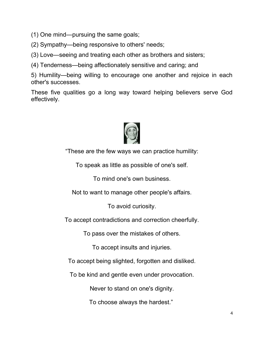(1) One mind—pursuing the same goals;

(2) Sympathy—being responsive to others' needs;

(3) Love—seeing and treating each other as brothers and sisters;

(4) Tenderness—being affectionately sensitive and caring; and

5) Humility—being willing to encourage one another and rejoice in each other's successes.

These five qualities go a long way toward helping believers serve God effectively.



"These are the few ways we can practice humility:

To speak as little as possible of one's self.

To mind one's own business.

Not to want to manage other people's affairs.

To avoid curiosity.

To accept contradictions and correction cheerfully.

To pass over the mistakes of others.

To accept insults and injuries.

To accept being slighted, forgotten and disliked.

To be kind and gentle even under provocation.

Never to stand on one's dignity.

To choose always the hardest."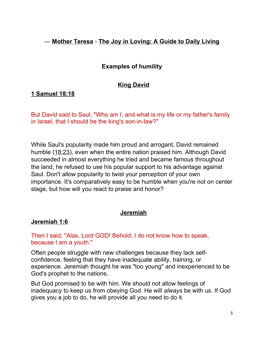## ― **[Mother Teresa](http://www.goodreads.com/author/show/838305.Mother_Teresa)** - **[The Joy in Loving: A Guide to Daily Living](http://www.goodreads.com/work/quotes/257396)**

## **Examples of humility**

## **[King David](http://bible.knowing-jesus.com/themes/King+david)**

## **[1 Samuel 18:18](http://bible.knowing-jesus.com/1-Samuel/18/18)**

But David said to Saul, "Who am I, and what is my life or my father's family in Israel, that I should be the king's son-in-law?"

While Saul's popularity made him proud and arrogant, David remained humble [\(18:23\)](http://www.crossbooks.com/verse.asp?ref=1Sa+18%3A23), even when the entire nation praised him. Although David succeeded in almost everything he tried and became famous throughout the land, he refused to use his popular support to his advantage against Saul. Don't allow popularity to twist your perception of your own importance. It's comparatively easy to be humble when you're not on center stage, but how will you react to praise and honor?

## **[Jeremiah](http://bible.knowing-jesus.com/themes/Jeremiah)**

### **[Jeremiah 1:6](http://bible.knowing-jesus.com/Jeremiah/1/6)**

Then I said, "Alas, Lord GOD! Behold, I do not know how to speak, because I am a youth."

Often people struggle with new challenges because they lack selfconfidence, feeling that they have inadequate ability, training, or experience. Jeremiah thought he was "too young" and inexperienced to be God's prophet to the nations.

But God promised to be with him. We should not allow feelings of inadequacy to keep us from obeying God. He will *always* be with us. If God gives you a job to do, he will provide all you need to do it.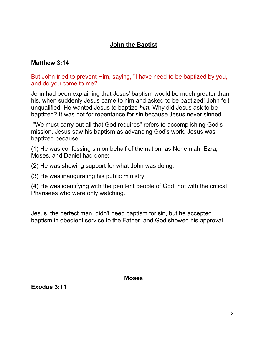## **[John the Baptist](http://bible.knowing-jesus.com/topics/John-the-baptist)**

### **[Matthew 3:14](http://bible.knowing-jesus.com/Matthew/3/14)**

### But John tried to prevent Him, saying, "I have need to be baptized by you, and do you come to me?"

John had been explaining that Jesus' baptism would be much greater than his, when suddenly Jesus came to him and asked to be baptized! John felt unqualified. He wanted Jesus to baptize *him.* Why did Jesus ask to be baptized? It was not for repentance for sin because Jesus never sinned.

 "We must carry out all that God requires" refers to accomplishing God's mission. Jesus saw his baptism as advancing God's work. Jesus was baptized because

(1) He was confessing sin on behalf of the nation, as Nehemiah, Ezra, Moses, and Daniel had done;

(2) He was showing support for what John was doing;

(3) He was inaugurating his public ministry;

(4) He was identifying with the penitent people of God, not with the critical Pharisees who were only watching.

Jesus, the perfect man, didn't need baptism for sin, but he accepted baptism in obedient service to the Father, and God showed his approval.

### **[Moses](http://bible.knowing-jesus.com/themes/Moses)**

**[Exodus 3:11](http://bible.knowing-jesus.com/Exodus/3/11)**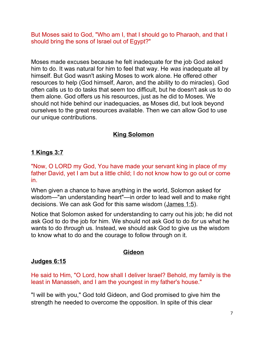But Moses said to God, "Who am I, that I should go to Pharaoh, and that I should bring the sons of Israel out of Egypt?"

Moses made excuses because he felt inadequate for the job God asked him to do. It was natural for him to feel that way. He *was* inadequate all by himself. But God wasn't asking Moses to work alone. He offered other resources to help (God himself, Aaron, and the ability to do miracles). God often calls us to do tasks that seem too difficult, but he doesn't ask us to do them alone. God offers us his resources, just as he did to Moses. We should not hide behind our inadequacies, as Moses did, but look beyond ourselves to the great resources available. Then we can allow God to use our unique contributions.

## **[King Solomon](http://bible.knowing-jesus.com/themes/King+solomon)**

## **[1 Kings 3:7](http://bible.knowing-jesus.com/1-Kings/3/7)**

"Now, O LORD my God, You have made your servant king in place of my father David, yet I am but a little child; I do not know how to go out or come in.

When given a chance to have anything in the world, Solomon asked for wisdom—"an understanding heart"—in order to lead well and to make right decisions. We can ask God for this same wisdom [\(James 1:5\)](http://www.crossbooks.com/verse.asp?ref=Jas+1%3A5).

Notice that Solomon asked for understanding to carry out his job; he did not ask God to do the job for him. We should not ask God to do *for* us what he wants to do *through* us. Instead, we should ask God to give us the wisdom to know what to do and the courage to follow through on it.

## **[Gideon](http://bible.knowing-jesus.com/themes/Gideon)**

### **[Judges 6:15](http://bible.knowing-jesus.com/Judges/6/15)**

He said to Him, "O Lord, how shall I deliver Israel? Behold, my family is the least in Manasseh, and I am the youngest in my father's house."

"I will be with you," God told Gideon, and God promised to give him the strength he needed to overcome the opposition. In spite of this clear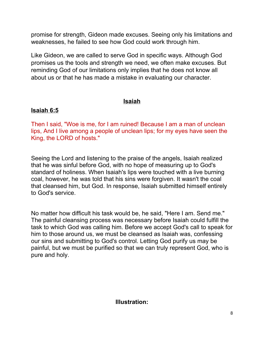promise for strength, Gideon made excuses. Seeing only his limitations and weaknesses, he failed to see how God could work through him.

Like Gideon, we are called to serve God in specific ways. Although God promises us the tools and strength we need, we often make excuses. But reminding God of our limitations only implies that he does not know all about us or that he has made a mistake in evaluating our character.

# **[Isaiah](http://bible.knowing-jesus.com/themes/Isaiah)**

## **[Isaiah 6:5](http://bible.knowing-jesus.com/Isaiah/6/5)**

Then I said, "Woe is me, for I am ruined! Because I am a man of unclean lips, And I live among a people of unclean lips; for my eyes have seen the King, the LORD of hosts."

Seeing the Lord and listening to the praise of the angels, Isaiah realized that he was sinful before God, with no hope of measuring up to God's standard of holiness. When Isaiah's lips were touched with a live burning coal, however, he was told that his sins were forgiven. It wasn't the coal that cleansed him, but God. In response, Isaiah submitted himself entirely to God's service.

No matter how difficult his task would be, he said, "Here I am. Send me." The painful cleansing process was necessary before Isaiah could fulfill the task to which God was calling him. Before we accept God's call to speak for him to those around us, we must be cleansed as Isaiah was, confessing our sins and submitting to God's control. Letting God purify us may be painful, but we must be purified so that we can truly represent God, who is pure and holy.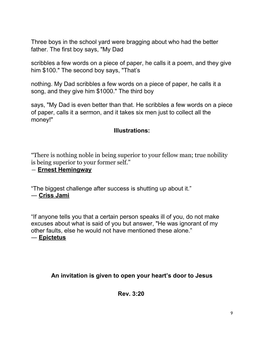Three boys in the school yard were bragging about who had the better father. The first boy says, "My Dad

scribbles a few words on a piece of paper, he calls it a poem, and they give him \$100." The second boy says, "That's

nothing. My Dad scribbles a few words on a piece of paper, he calls it a song, and they give him \$1000." The third boy

says, "My Dad is even better than that. He scribbles a few words on a piece of paper, calls it a sermon, and it takes six men just to collect all the money!"

## **Illustrations:**

"There is nothing noble in being superior to your fellow man; true nobility is being superior to your former self."

### ― **[Ernest Hemingway](http://www.goodreads.com/author/show/1455.Ernest_Hemingway)**

"The biggest challenge after success is shutting up about it." ― **[Criss Jami](http://www.goodreads.com/author/show/4860176.Criss_Jami)**

"If anyone tells you that a certain person speaks ill of you, do not make excuses about what is said of you but answer, "He was ignorant of my other faults, else he would not have mentioned these alone."

### ― **[Epictetus](http://www.goodreads.com/author/show/13852.Epictetus)**

## **An invitation is given to open your heart's door to Jesus**

### **Rev. 3:20**